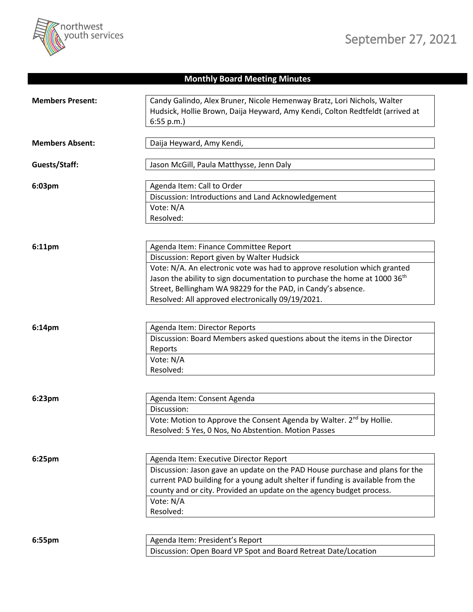

## **Monthly Board Meeting Minutes**

| <b>Members Present:</b> | Candy Galindo, Alex Bruner, Nicole Hemenway Bratz, Lori Nichols, Walter               |
|-------------------------|---------------------------------------------------------------------------------------|
|                         | Hudsick, Hollie Brown, Daija Heyward, Amy Kendi, Colton Redtfeldt (arrived at         |
|                         | 6:55 p.m.                                                                             |
| <b>Members Absent:</b>  | Daija Heyward, Amy Kendi,                                                             |
| Guests/Staff:           | Jason McGill, Paula Matthysse, Jenn Daly                                              |
| 6:03pm                  | Agenda Item: Call to Order                                                            |
|                         | Discussion: Introductions and Land Acknowledgement                                    |
|                         | Vote: N/A                                                                             |
|                         | Resolved:                                                                             |
|                         |                                                                                       |
| 6:11pm                  | Agenda Item: Finance Committee Report                                                 |
|                         | Discussion: Report given by Walter Hudsick                                            |
|                         | Vote: N/A. An electronic vote was had to approve resolution which granted             |
|                         | Jason the ability to sign documentation to purchase the home at 1000 36 <sup>th</sup> |
|                         | Street, Bellingham WA 98229 for the PAD, in Candy's absence.                          |
|                         | Resolved: All approved electronically 09/19/2021.                                     |
|                         |                                                                                       |
| 6:14pm                  | Agenda Item: Director Reports                                                         |
|                         | Discussion: Board Members asked questions about the items in the Director             |
|                         | Reports                                                                               |
|                         | Vote: N/A                                                                             |
|                         | Resolved:                                                                             |
|                         |                                                                                       |
| 6:23pm                  | Agenda Item: Consent Agenda                                                           |
|                         | Discussion:                                                                           |
|                         | Vote: Motion to Approve the Consent Agenda by Walter. 2 <sup>nd</sup> by Hollie.      |
|                         | Resolved: 5 Yes, 0 Nos, No Abstention. Motion Passes                                  |
|                         |                                                                                       |
| 6:25pm                  | Agenda Item: Executive Director Report                                                |
|                         | Discussion: Jason gave an update on the PAD House purchase and plans for the          |
|                         | current PAD building for a young adult shelter if funding is available from the       |
|                         | county and or city. Provided an update on the agency budget process.                  |
|                         | Vote: N/A                                                                             |
|                         | Resolved:                                                                             |
|                         |                                                                                       |
| 6:55pm                  | Agenda Item: President's Report                                                       |
|                         | Discussion: Open Board VP Spot and Board Retreat Date/Location                        |